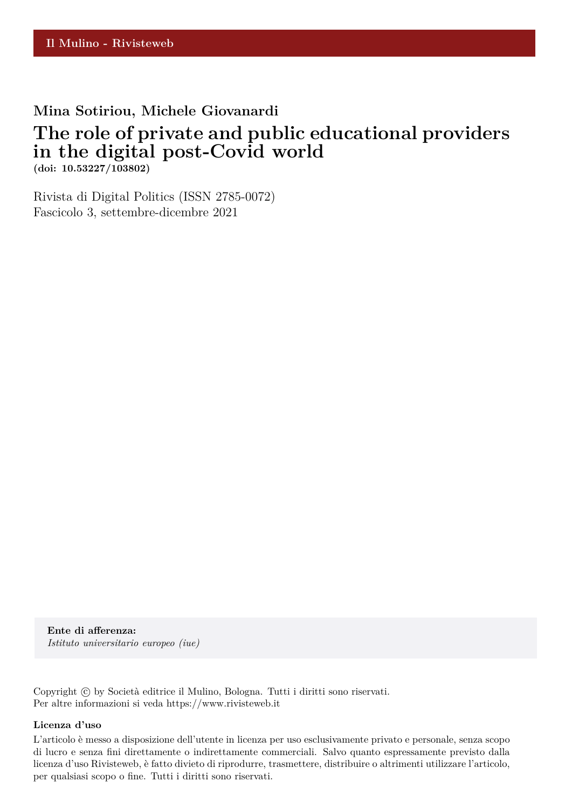# **Mina Sotiriou, Michele Giovanardi**

# **The role of private and public educational providers in the digital post-Covid world**

**(doi: 10.53227/103802)**

Rivista di Digital Politics (ISSN 2785-0072) Fascicolo 3, settembre-dicembre 2021

**Ente di afferenza:** *Istituto universitario europeo (iue)*

Copyright © by Società editrice il Mulino, Bologna. Tutti i diritti sono riservati. Per altre informazioni si veda https://www.rivisteweb.it

#### **Licenza d'uso**

L'articolo è messo a disposizione dell'utente in licenza per uso esclusivamente privato e personale, senza scopo di lucro e senza fini direttamente o indirettamente commerciali. Salvo quanto espressamente previsto dalla licenza d'uso Rivisteweb, è fatto divieto di riprodurre, trasmettere, distribuire o altrimenti utilizzare l'articolo, per qualsiasi scopo o fine. Tutti i diritti sono riservati.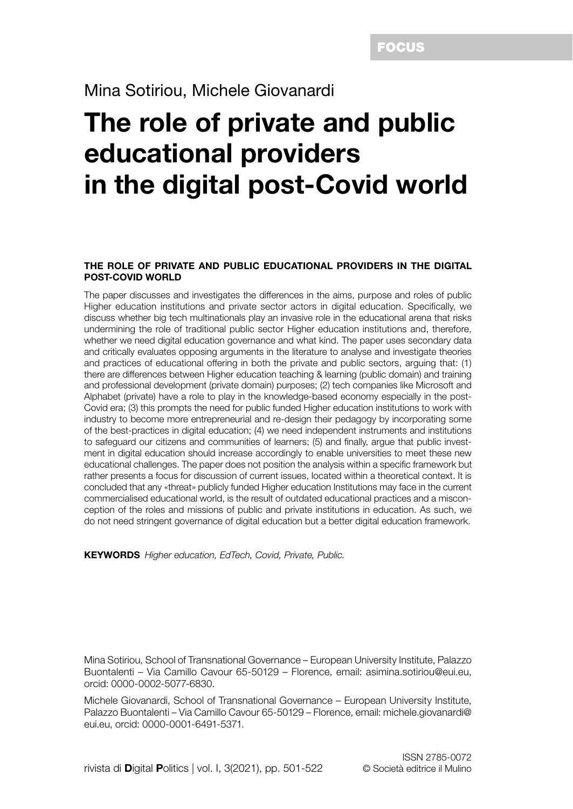### Mina Sotiriou, Michele Giovanardi

# The role of private and public educational providers in the digital post-Covid world

#### THE ROLE OF PRIVATE AND PUBLIC EDUCATIONAL PROVIDERS IN THE DIGITAL POST-COVID WORLD

The paper discusses and investigates the differences in the aims, purpose and roles of public Higher education institutions and private sector actors in digital education. Specifically, we discuss whether big tech multinationals play an invasive role in the educational arena that risks undermining the role of traditional public sector Higher education institutions and, therefore, whether we need digital education governance and what kind. The paper uses secondary data and critically evaluates opposing arguments in the literature to analyse and investigate theories and practices of educational offering in both the private and public sectors, arguing that: (1) there are differences between Higher education teaching & learning (public domain) and training and professional development (private domain) purposes; (2) tech companies like Microsoft and Alphabet (private) have a role to play in the knowledge-based economy especially in the post-Covid era; (3) this prompts the need for public funded Higher education institutions to work with industry to become more entrepreneurial and re-design their pedagogy by incorporating some of the best-practices in digital education; (4) we need independent instruments and institutions to safeguard our citizens and communities of learners; (5) and finally, argue that public investment in digital education should increase accordingly to enable universities to meet these new educational challenges. The paper does not position the analysis within a specific framework but rather presents a focus for discussion of current issues, located within a theoretical context. It is concluded that any «threat» publicly funded Higher education Institutions may face in the current commercialised educational world, is the result of outdated educational practices and a misconception of the roles and missions of public and private institutions in education. As such, we do not need stringent governance of digital education but a better digital education framework.

KEYWORDS *Higher education, EdTech, Covid, Private, Public.*

Mina Sotiriou, School of Transnational Governance – European University Institute, Palazzo Buontalenti – Via Camillo Cavour 65-50129 – Florence, email: asimina.sotiriou@eui.eu, orcid: 0000-0002-5077-6830.

Michele Giovanardi, School of Transnational Governance – European University Institute, Palazzo Buontalenti – Via Camillo Cavour 65-50129 – Florence, email: michele.giovanardi@ eui.eu, orcid: 0000-0001-6491-5371.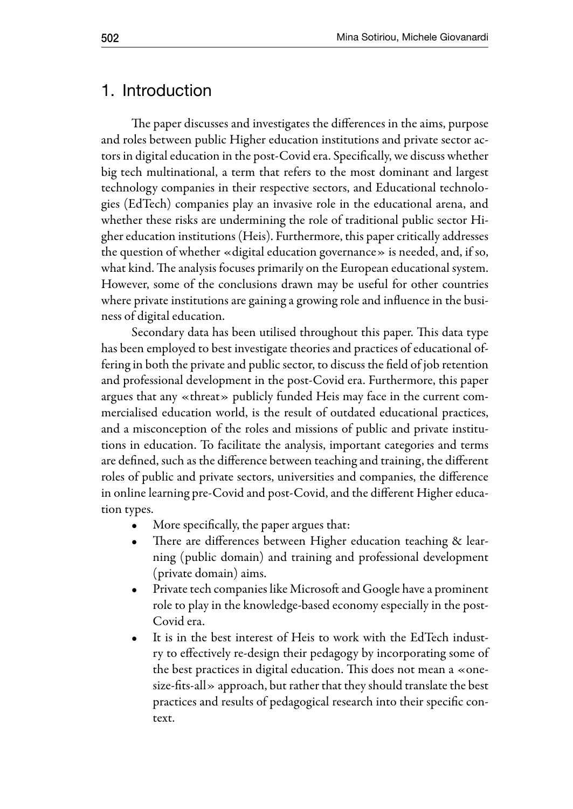#### 1. Introduction

The paper discusses and investigates the differences in the aims, purpose and roles between public Higher education institutions and private sector actors in digital education in the post-Covid era. Specifically, we discuss whether big tech multinational, a term that refers to the most dominant and largest technology companies in their respective sectors, and Educational technologies (EdTech) companies play an invasive role in the educational arena, and whether these risks are undermining the role of traditional public sector Higher education institutions (Heis). Furthermore, this paper critically addresses the question of whether «digital education governance» is needed, and, if so, what kind. The analysis focuses primarily on the European educational system. However, some of the conclusions drawn may be useful for other countries where private institutions are gaining a growing role and influence in the business of digital education.

Secondary data has been utilised throughout this paper. This data type has been employed to best investigate theories and practices of educational offering in both the private and public sector, to discuss the field of job retention and professional development in the post-Covid era. Furthermore, this paper argues that any «threat» publicly funded Heis may face in the current commercialised education world, is the result of outdated educational practices, and a misconception of the roles and missions of public and private institutions in education. To facilitate the analysis, important categories and terms are defined, such as the difference between teaching and training, the different roles of public and private sectors, universities and companies, the difference in online learning pre-Covid and post-Covid, and the different Higher education types.

- More specifically, the paper argues that:
- There are differences between Higher education teaching & learning (public domain) and training and professional development (private domain) aims.
- Private tech companies like Microsoft and Google have a prominent role to play in the knowledge-based economy especially in the post-Covid era.
- It is in the best interest of Heis to work with the EdTech industry to effectively re-design their pedagogy by incorporating some of the best practices in digital education. This does not mean a «onesize-fits-all» approach, but rather that they should translate the best practices and results of pedagogical research into their specific context.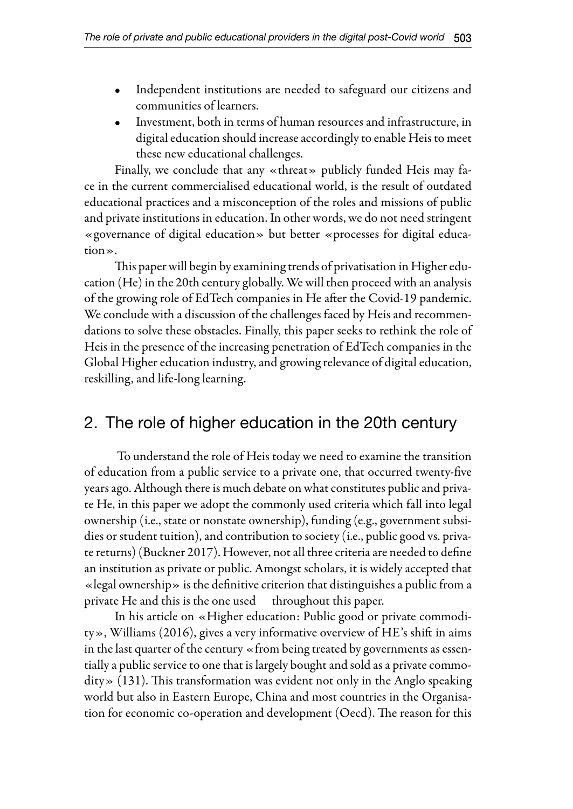- Independent institutions are needed to safeguard our citizens and communities of learners.
- Investment, both in terms of human resources and infrastructure, in digital education should increase accordingly to enable Heis to meet these new educational challenges.

Finally, we conclude that any «threat» publicly funded Heis may face in the current commercialised educational world, is the result of outdated educational practices and a misconception of the roles and missions of public and private institutions in education. In other words, we do not need stringent «governance of digital education» but better «processes for digital education».

This paper will begin by examining trends of privatisation in Higher education (He) in the 20th century globally. We will then proceed with an analysis of the growing role of EdTech companies in He after the Covid-19 pandemic. We conclude with a discussion of the challenges faced by Heis and recommendations to solve these obstacles. Finally, this paper seeks to rethink the role of Heis in the presence of the increasing penetration of EdTech companies in the Global Higher education industry, and growing relevance of digital education, reskilling, and life-long learning.

## 2. The role of higher education in the 20th century

 To understand the role of Heis today we need to examine the transition of education from a public service to a private one, that occurred twenty-five years ago. Although there is much debate on what constitutes public and private He, in this paper we adopt the commonly used criteria which fall into legal ownership (i.e., state or nonstate ownership), funding (e.g., government subsidies or student tuition), and contribution to society (i.e., public good vs. private returns) (Buckner 2017). However, not all three criteria are needed to define an institution as private or public. Amongst scholars, it is widely accepted that «legal ownership» is the definitive criterion that distinguishes a public from a private He and this is the one used throughout this paper.

In his article on «Higher education: Public good or private commodity», Williams (2016), gives a very informative overview of HE's shift in aims in the last quarter of the century «from being treated by governments as essentially a public service to one that is largely bought and sold as a private commodity» (131). This transformation was evident not only in the Anglo speaking world but also in Eastern Europe, China and most countries in the Organisation for economic co-operation and development (Oecd). The reason for this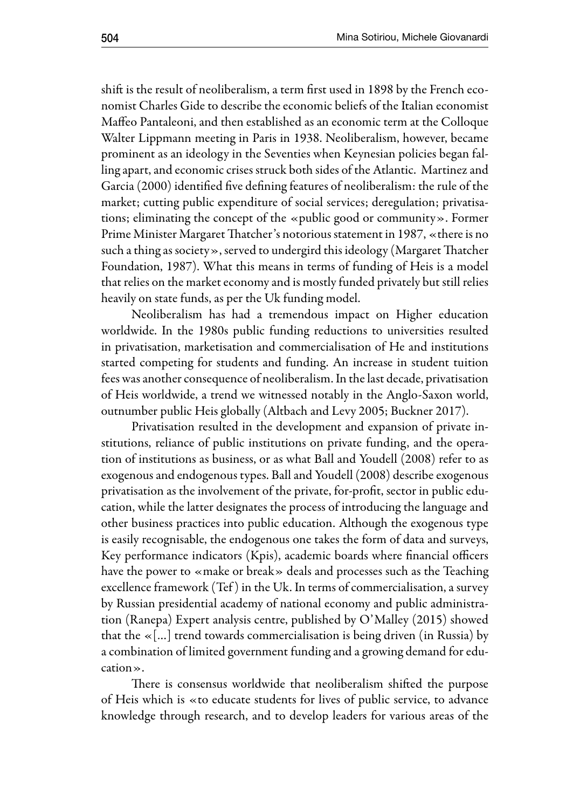shift is the result of neoliberalism, a term first used in 1898 by the French economist Charles Gide to describe the economic beliefs of the Italian economist Maffeo Pantaleoni, and then established as an economic term at the Colloque Walter Lippmann meeting in Paris in 1938. Neoliberalism, however, became prominent as an ideology in the Seventies when Keynesian policies began falling apart, and economic crises struck both sides of the Atlantic. Martinez and Garcia (2000) identified five defining features of neoliberalism: the rule of the market; cutting public expenditure of social services; deregulation; privatisations; eliminating the concept of the «public good or community». Former Prime Minister Margaret Thatcher's notorious statement in 1987, «there is no such a thing as society», served to undergird this ideology (Margaret Thatcher Foundation, 1987). What this means in terms of funding of Heis is a model that relies on the market economy and is mostly funded privately but still relies heavily on state funds, as per the Uk funding model.

Neoliberalism has had a tremendous impact on Higher education worldwide. In the 1980s public funding reductions to universities resulted in privatisation, marketisation and commercialisation of He and institutions started competing for students and funding. An increase in student tuition fees was another consequence of neoliberalism. In the last decade, privatisation of Heis worldwide, a trend we witnessed notably in the Anglo-Saxon world, outnumber public Heis globally (Altbach and Levy 2005; Buckner 2017).

Privatisation resulted in the development and expansion of private institutions, reliance of public institutions on private funding, and the operation of institutions as business, or as what Ball and Youdell (2008) refer to as exogenous and endogenous types. Ball and Youdell (2008) describe exogenous privatisation as the involvement of the private, for-profit, sector in public education, while the latter designates the process of introducing the language and other business practices into public education. Although the exogenous type is easily recognisable, the endogenous one takes the form of data and surveys, Key performance indicators (Kpis), academic boards where financial officers have the power to «make or break» deals and processes such as the Teaching excellence framework (Tef ) in the Uk. In terms of commercialisation, a survey by Russian presidential academy of national economy and public administration (Ranepa) Expert analysis centre, published by O'Malley (2015) showed that the «[…] trend towards commercialisation is being driven (in Russia) by a combination of limited government funding and a growing demand for education».

There is consensus worldwide that neoliberalism shifted the purpose of Heis which is «to educate students for lives of public service, to advance knowledge through research, and to develop leaders for various areas of the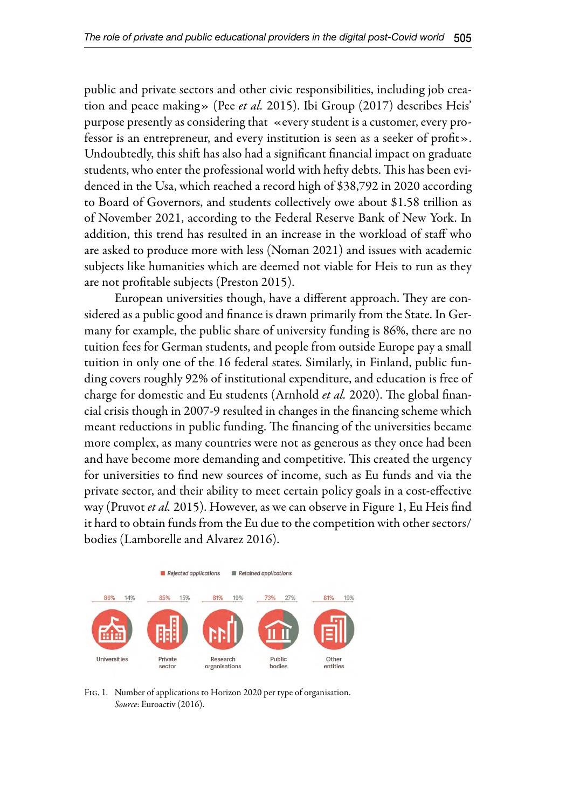public and private sectors and other civic responsibilities, including job creation and peace making» (Pee *et al.* 2015). Ibi Group (2017) describes Heis' purpose presently as considering that «every student is a customer, every professor is an entrepreneur, and every institution is seen as a seeker of profit». Undoubtedly, this shift has also had a significant financial impact on graduate students, who enter the professional world with hefty debts. This has been evidenced in the Usa, which reached a record high of \$38,792 in 2020 according to Board of Governors, and students collectively owe about \$1.58 trillion as of November 2021, according to the Federal Reserve Bank of New York. In addition, this trend has resulted in an increase in the workload of staff who are asked to produce more with less (Noman 2021) and issues with academic subjects like humanities which are deemed not viable for Heis to run as they are not profitable subjects (Preston 2015).

European universities though, have a different approach. They are considered as a public good and finance is drawn primarily from the State. In Germany for example, the public share of university funding is 86%, there are no tuition fees for German students, and people from outside Europe pay a small tuition in only one of the 16 federal states. Similarly, in Finland, public funding covers roughly 92% of institutional expenditure, and education is free of charge for domestic and Eu students (Arnhold *et al.* 2020). The global financial crisis though in 2007-9 resulted in changes in the financing scheme which meant reductions in public funding. The financing of the universities became more complex, as many countries were not as generous as they once had been and have become more demanding and competitive. This created the urgency for universities to find new sources of income, such as Eu funds and via the private sector, and their ability to meet certain policy goals in a cost-effective way (Pruvot *et al.* 2015). However, as we can observe in Figure 1, Eu Heis find it hard to obtain funds from the Eu due to the competition with other sectors/ bodies (Lamborelle and Alvarez 2016).



Fig. 1. Number of applications to Horizon 2020 per type of organisation. *Source*: Euroactiv (2016).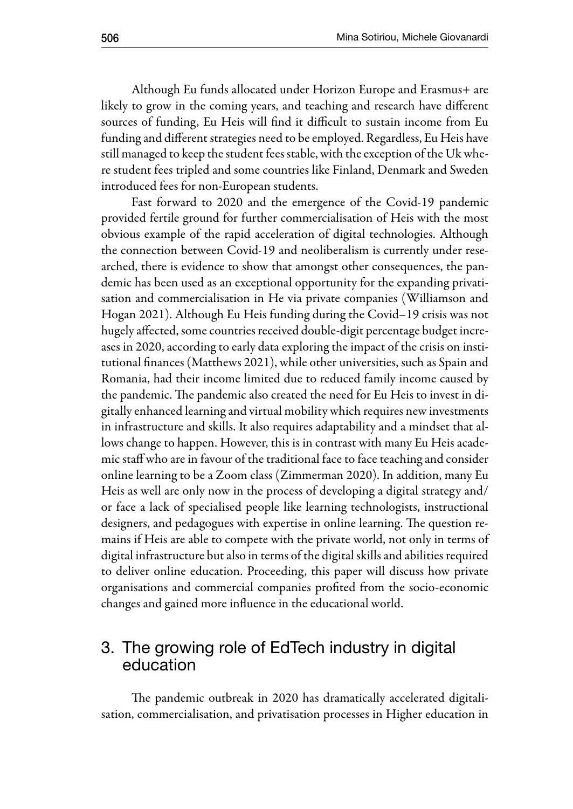Although Eu funds allocated under Horizon Europe and Erasmus+ are likely to grow in the coming years, and teaching and research have different sources of funding, Eu Heis will find it difficult to sustain income from Eu funding and different strategies need to be employed. Regardless, Eu Heis have still managed to keep the student fees stable, with the exception of the Uk where student fees tripled and some countries like Finland, Denmark and Sweden introduced fees for non-European students.

Fast forward to 2020 and the emergence of the Covid-19 pandemic provided fertile ground for further commercialisation of Heis with the most obvious example of the rapid acceleration of digital technologies. Although the connection between Covid-19 and neoliberalism is currently under researched, there is evidence to show that amongst other consequences, the pandemic has been used as an exceptional opportunity for the expanding privatisation and commercialisation in He via private companies (Williamson and Hogan 2021). Although Eu Heis funding during the Covid–19 crisis was not hugely affected, some countries received double-digit percentage budget increases in 2020, according to early data exploring the impact of the crisis on institutional finances (Matthews 2021), while other universities, such as Spain and Romania, had their income limited due to reduced family income caused by the pandemic. The pandemic also created the need for Eu Heis to invest in digitally enhanced learning and virtual mobility which requires new investments in infrastructure and skills. It also requires adaptability and a mindset that allows change to happen. However, this is in contrast with many Eu Heis academic staff who are in favour of the traditional face to face teaching and consider online learning to be a Zoom class (Zimmerman 2020). In addition, many Eu Heis as well are only now in the process of developing a digital strategy and/ or face a lack of specialised people like learning technologists, instructional designers, and pedagogues with expertise in online learning. The question remains if Heis are able to compete with the private world, not only in terms of digital infrastructure but also in terms of the digital skills and abilities required to deliver online education. Proceeding, this paper will discuss how private organisations and commercial companies profited from the socio-economic changes and gained more influence in the educational world.

#### 3. The growing role of EdTech industry in digital education

The pandemic outbreak in 2020 has dramatically accelerated digitalisation, commercialisation, and privatisation processes in Higher education in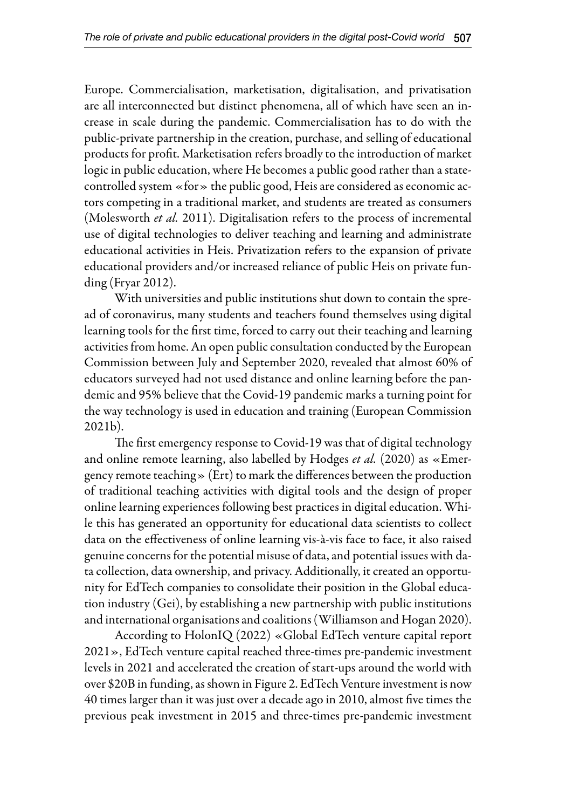Europe. Commercialisation, marketisation, digitalisation, and privatisation are all interconnected but distinct phenomena, all of which have seen an increase in scale during the pandemic. Commercialisation has to do with the public-private partnership in the creation, purchase, and selling of educational products for profit. Marketisation refers broadly to the introduction of market logic in public education, where He becomes a public good rather than a statecontrolled system «for» the public good, Heis are considered as economic actors competing in a traditional market, and students are treated as consumers (Molesworth *et al.* 2011). Digitalisation refers to the process of incremental use of digital technologies to deliver teaching and learning and administrate educational activities in Heis. Privatization refers to the expansion of private educational providers and/or increased reliance of public Heis on private funding (Fryar 2012).

With universities and public institutions shut down to contain the spread of coronavirus, many students and teachers found themselves using digital learning tools for the first time, forced to carry out their teaching and learning activities from home. An open public consultation conducted by the European Commission between July and September 2020, revealed that almost 60% of educators surveyed had not used distance and online learning before the pandemic and 95% believe that the Covid-19 pandemic marks a turning point for the way technology is used in education and training (European Commission 2021b).

The first emergency response to Covid-19 was that of digital technology and online remote learning, also labelled by Hodges *et al.* (2020) as «Emergency remote teaching» (Ert) to mark the differences between the production of traditional teaching activities with digital tools and the design of proper online learning experiences following best practices in digital education. While this has generated an opportunity for educational data scientists to collect data on the effectiveness of online learning vis-à-vis face to face, it also raised genuine concerns for the potential misuse of data, and potential issues with data collection, data ownership, and privacy. Additionally, it created an opportunity for EdTech companies to consolidate their position in the Global education industry (Gei), by establishing a new partnership with public institutions and international organisations and coalitions (Williamson and Hogan 2020).

According to HolonIQ (2022) «Global EdTech venture capital report 2021», EdTech venture capital reached three-times pre-pandemic investment levels in 2021 and accelerated the creation of start-ups around the world with over \$20B in funding, as shown in Figure 2. EdTech Venture investment is now 40 times larger than it was just over a decade ago in 2010, almost five times the previous peak investment in 2015 and three-times pre-pandemic investment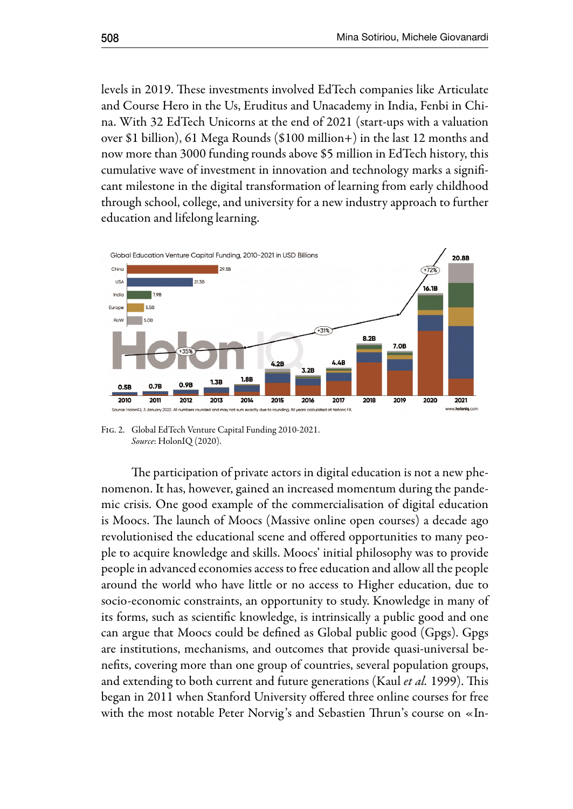levels in 2019. These investments involved EdTech companies like Articulate and Course Hero in the Us, Eruditus and Unacademy in India, Fenbi in China. With 32 EdTech Unicorns at the end of 2021 (start-ups with a valuation over \$1 billion), 61 Mega Rounds (\$100 million+) in the last 12 months and now more than 3000 funding rounds above \$5 million in EdTech history, this cumulative wave of investment in innovation and technology marks a significant milestone in the digital transformation of learning from early childhood through school, college, and university for a new industry approach to further education and lifelong learning.



Fig. 2. Global EdTech Venture Capital Funding 2010-2021. *Source*: HolonIQ (2020).

The participation of private actors in digital education is not a new phenomenon. It has, however, gained an increased momentum during the pandemic crisis. One good example of the commercialisation of digital education is Moocs. The launch of Moocs (Massive online open courses) a decade ago revolutionised the educational scene and offered opportunities to many people to acquire knowledge and skills. Moocs' initial philosophy was to provide people in advanced economies access to free education and allow all the people around the world who have little or no access to Higher education, due to socio-economic constraints, an opportunity to study. Knowledge in many of its forms, such as scientific knowledge, is intrinsically a public good and one can argue that Moocs could be defined as Global public good (Gpgs). Gpgs are institutions, mechanisms, and outcomes that provide quasi-universal benefits, covering more than one group of countries, several population groups, and extending to both current and future generations (Kaul *et al.* 1999). This began in 2011 when Stanford University offered three online courses for free with the most notable Peter Norvig's and Sebastien Thrun's course on «In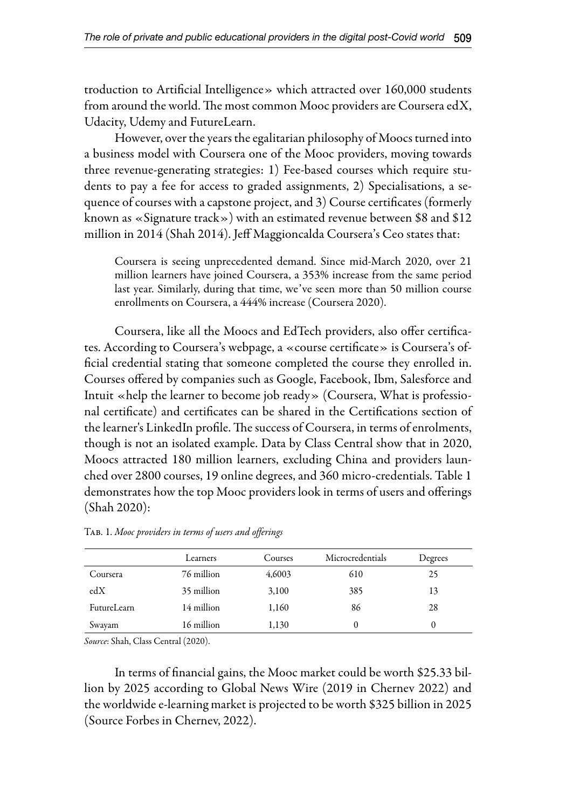troduction to Artificial Intelligence» which attracted over 160,000 students from around the world. The most common Mooc providers are Coursera edX, Udacity, Udemy and FutureLearn.

However, over the years the egalitarian philosophy of Moocs turned into a business model with Coursera one of the Mooc providers, moving towards three revenue-generating strategies: 1) Fee-based courses which require students to pay a fee for access to graded assignments, 2) Specialisations, a sequence of courses with a capstone project, and 3) Course certificates (formerly known as «Signature track») with an estimated revenue between \$8 and \$12 million in 2014 (Shah 2014). Jeff Maggioncalda Coursera's Ceo states that:

Coursera is seeing unprecedented demand. Since mid-March 2020, over 21 million learners have joined Coursera, a 353% increase from the same period last year. Similarly, during that time, we've seen more than 50 million course enrollments on Coursera, a 444% increase (Coursera 2020).

Coursera, like all the Moocs and EdTech providers, also offer certificates. According to Coursera's webpage, a «course certificate» is Coursera's official credential stating that someone completed the course they enrolled in. Courses offered by companies such as Google, Facebook, Ibm, Salesforce and Intuit «help the learner to become job ready» (Coursera, What is professional certificate) and certificates can be shared in the Certifications section of the learner's LinkedIn profile. The success of Coursera, in terms of enrolments, though is not an isolated example. Data by Class Central show that in 2020, Moocs attracted 180 million learners, excluding China and providers launched over 2800 courses, 19 online degrees, and 360 micro-credentials. Table 1 demonstrates how the top Mooc providers look in terms of users and offerings (Shah 2020):

|             | Learners   | Courses | Microcredentials | Degrees |
|-------------|------------|---------|------------------|---------|
| Coursera    | 76 million | 4,6003  | 610              | 25      |
| edX         | 35 million | 3,100   | 385              | 13      |
| FutureLearn | 14 million | 1,160   | 86               | 28      |
| Swayam      | 16 million | 1,130   | $\theta$         |         |

Tab. 1. *Mooc providers in terms of users and offerings*

*Source*: Shah, Class Central (2020).

In terms of financial gains, the Mooc market could be worth \$25.33 billion by 2025 according to Global News Wire (2019 in Chernev 2022) and the worldwide e-learning market is projected to be worth \$325 billion in 2025 (Source Forbes in Chernev, 2022).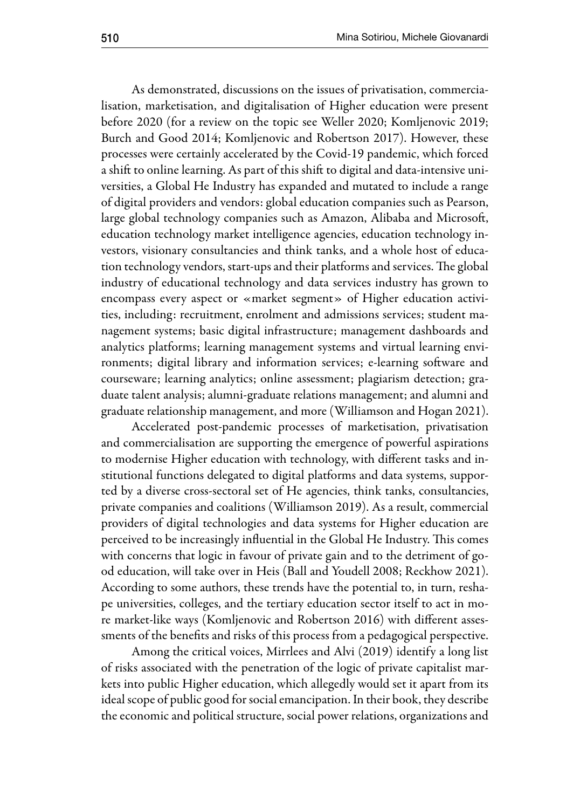As demonstrated, discussions on the issues of privatisation, commercialisation, marketisation, and digitalisation of Higher education were present before 2020 (for a review on the topic see Weller 2020; Komljenovic 2019; Burch and Good 2014; Komljenovic and Robertson 2017). However, these processes were certainly accelerated by the Covid-19 pandemic, which forced a shift to online learning. As part of this shift to digital and data-intensive universities, a Global He Industry has expanded and mutated to include a range of digital providers and vendors: global education companies such as Pearson, large global technology companies such as Amazon, Alibaba and Microsoft, education technology market intelligence agencies, education technology investors, visionary consultancies and think tanks, and a whole host of education technology vendors, start-ups and their platforms and services. The global industry of educational technology and data services industry has grown to encompass every aspect or «market segment» of Higher education activities, including: recruitment, enrolment and admissions services; student management systems; basic digital infrastructure; management dashboards and analytics platforms; learning management systems and virtual learning environments; digital library and information services; e-learning software and courseware; learning analytics; online assessment; plagiarism detection; graduate talent analysis; alumni-graduate relations management; and alumni and graduate relationship management, and more (Williamson and Hogan 2021).

Accelerated post-pandemic processes of marketisation, privatisation and commercialisation are supporting the emergence of powerful aspirations to modernise Higher education with technology, with different tasks and institutional functions delegated to digital platforms and data systems, supported by a diverse cross-sectoral set of He agencies, think tanks, consultancies, private companies and coalitions (Williamson 2019). As a result, commercial providers of digital technologies and data systems for Higher education are perceived to be increasingly influential in the Global He Industry. This comes with concerns that logic in favour of private gain and to the detriment of good education, will take over in Heis (Ball and Youdell 2008; Reckhow 2021). According to some authors, these trends have the potential to, in turn, reshape universities, colleges, and the tertiary education sector itself to act in more market-like ways (Komljenovic and Robertson 2016) with different assessments of the benefits and risks of this process from a pedagogical perspective.

Among the critical voices, Mirrlees and Alvi (2019) identify a long list of risks associated with the penetration of the logic of private capitalist markets into public Higher education, which allegedly would set it apart from its ideal scope of public good for social emancipation. In their book, they describe the economic and political structure, social power relations, organizations and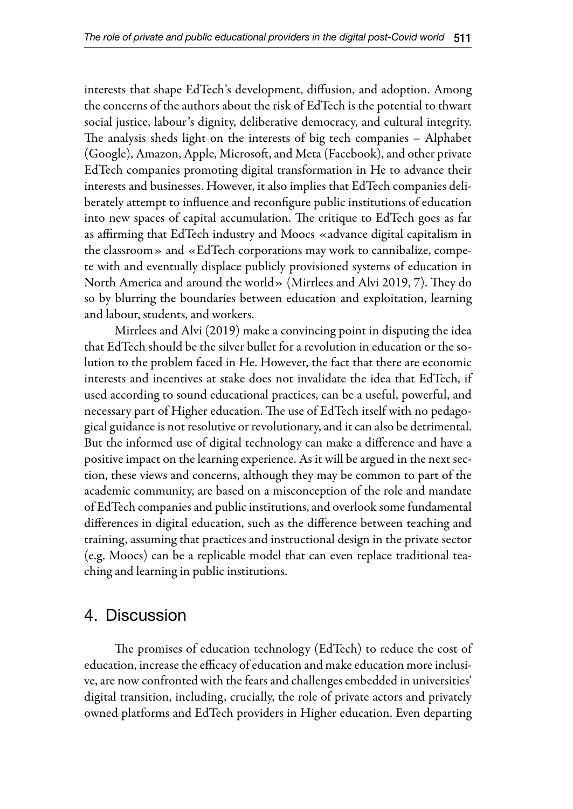interests that shape EdTech's development, diffusion, and adoption. Among the concerns of the authors about the risk of EdTech is the potential to thwart social justice, labour's dignity, deliberative democracy, and cultural integrity. The analysis sheds light on the interests of big tech companies – Alphabet (Google), Amazon, Apple, Microsoft, and Meta (Facebook), and other private EdTech companies promoting digital transformation in He to advance their interests and businesses. However, it also implies that EdTech companies deliberately attempt to influence and reconfigure public institutions of education into new spaces of capital accumulation. The critique to EdTech goes as far as affirming that EdTech industry and Moocs «advance digital capitalism in the classroom» and «EdTech corporations may work to cannibalize, compete with and eventually displace publicly provisioned systems of education in North America and around the world» (Mirrlees and Alvi 2019, 7). They do so by blurring the boundaries between education and exploitation, learning and labour, students, and workers.

Mirrlees and Alvi (2019) make a convincing point in disputing the idea that EdTech should be the silver bullet for a revolution in education or the solution to the problem faced in He. However, the fact that there are economic interests and incentives at stake does not invalidate the idea that EdTech, if used according to sound educational practices, can be a useful, powerful, and necessary part of Higher education. The use of EdTech itself with no pedagogical guidance is not resolutive or revolutionary, and it can also be detrimental. But the informed use of digital technology can make a difference and have a positive impact on the learning experience. As it will be argued in the next section, these views and concerns, although they may be common to part of the academic community, are based on a misconception of the role and mandate of EdTech companies and public institutions, and overlook some fundamental differences in digital education, such as the difference between teaching and training, assuming that practices and instructional design in the private sector (e.g. Moocs) can be a replicable model that can even replace traditional teaching and learning in public institutions.

#### 4. Discussion

The promises of education technology (EdTech) to reduce the cost of education, increase the efficacy of education and make education more inclusive, are now confronted with the fears and challenges embedded in universities' digital transition, including, crucially, the role of private actors and privately owned platforms and EdTech providers in Higher education. Even departing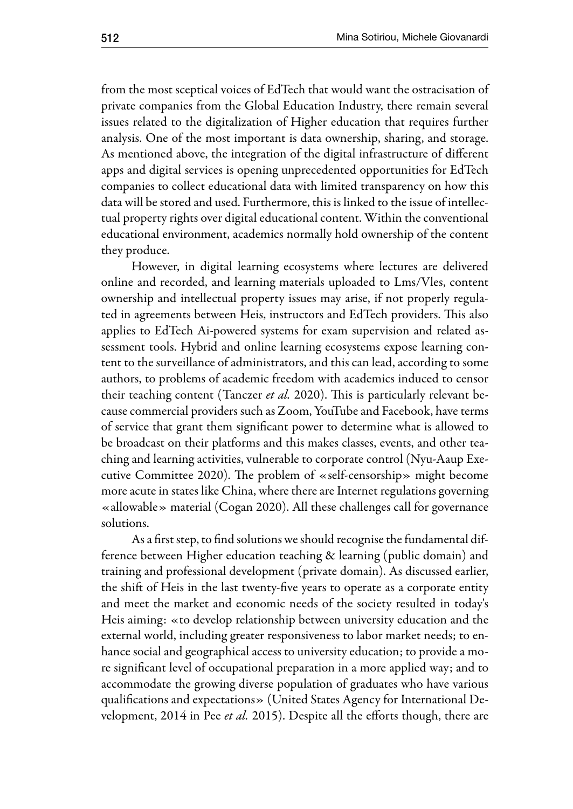from the most sceptical voices of EdTech that would want the ostracisation of private companies from the Global Education Industry, there remain several issues related to the digitalization of Higher education that requires further analysis. One of the most important is data ownership, sharing, and storage. As mentioned above, the integration of the digital infrastructure of different apps and digital services is opening unprecedented opportunities for EdTech companies to collect educational data with limited transparency on how this data will be stored and used. Furthermore, this is linked to the issue of intellectual property rights over digital educational content. Within the conventional educational environment, academics normally hold ownership of the content they produce.

However, in digital learning ecosystems where lectures are delivered online and recorded, and learning materials uploaded to Lms/Vles, content ownership and intellectual property issues may arise, if not properly regulated in agreements between Heis, instructors and EdTech providers. This also applies to EdTech Ai-powered systems for exam supervision and related assessment tools. Hybrid and online learning ecosystems expose learning content to the surveillance of administrators, and this can lead, according to some authors, to problems of academic freedom with academics induced to censor their teaching content (Tanczer *et al.* 2020). This is particularly relevant because commercial providers such as Zoom, YouTube and Facebook, have terms of service that grant them significant power to determine what is allowed to be broadcast on their platforms and this makes classes, events, and other teaching and learning activities, vulnerable to corporate control (Nyu-Aaup Executive Committee 2020). The problem of «self-censorship» might become more acute in states like China, where there are Internet regulations governing «allowable» material (Cogan 2020). All these challenges call for governance solutions.

As a first step, to find solutions we should recognise the fundamental difference between Higher education teaching & learning (public domain) and training and professional development (private domain). As discussed earlier, the shift of Heis in the last twenty-five years to operate as a corporate entity and meet the market and economic needs of the society resulted in today's Heis aiming: «to develop relationship between university education and the external world, including greater responsiveness to labor market needs; to enhance social and geographical access to university education; to provide a more significant level of occupational preparation in a more applied way; and to accommodate the growing diverse population of graduates who have various qualifications and expectations» (United States Agency for International Development, 2014 in Pee *et al.* 2015). Despite all the efforts though, there are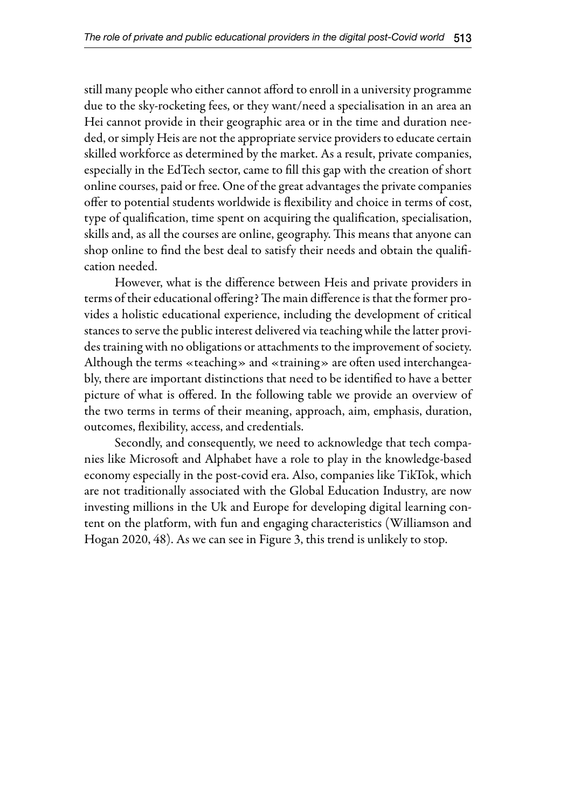still many people who either cannot afford to enroll in a university programme due to the sky-rocketing fees, or they want/need a specialisation in an area an Hei cannot provide in their geographic area or in the time and duration needed, or simply Heis are not the appropriate service providers to educate certain skilled workforce as determined by the market. As a result, private companies, especially in the EdTech sector, came to fill this gap with the creation of short online courses, paid or free. One of the great advantages the private companies offer to potential students worldwide is flexibility and choice in terms of cost, type of qualification, time spent on acquiring the qualification, specialisation, skills and, as all the courses are online, geography. This means that anyone can shop online to find the best deal to satisfy their needs and obtain the qualification needed.

However, what is the difference between Heis and private providers in terms of their educational offering? The main difference is that the former provides a holistic educational experience, including the development of critical stances to serve the public interest delivered via teaching while the latter provides training with no obligations or attachments to the improvement of society. Although the terms «teaching» and «training» are often used interchangeably, there are important distinctions that need to be identified to have a better picture of what is offered. In the following table we provide an overview of the two terms in terms of their meaning, approach, aim, emphasis, duration, outcomes, flexibility, access, and credentials.

Secondly, and consequently, we need to acknowledge that tech companies like Microsoft and Alphabet have a role to play in the knowledge-based economy especially in the post-covid era. Also, companies like TikTok, which are not traditionally associated with the Global Education Industry, are now investing millions in the Uk and Europe for developing digital learning content on the platform, with fun and engaging characteristics (Williamson and Hogan 2020, 48). As we can see in Figure 3, this trend is unlikely to stop.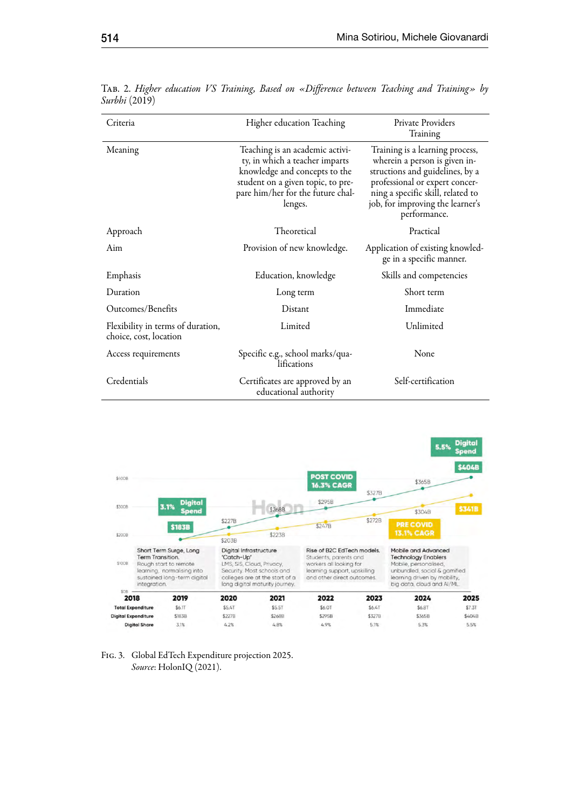| Criteria                                                    | Higher education Teaching                                                                                                                                                               | Private Providers<br>Training                                                                                                                                                                                                  |
|-------------------------------------------------------------|-----------------------------------------------------------------------------------------------------------------------------------------------------------------------------------------|--------------------------------------------------------------------------------------------------------------------------------------------------------------------------------------------------------------------------------|
| Meaning                                                     | Teaching is an academic activi-<br>ty, in which a teacher imparts<br>knowledge and concepts to the<br>student on a given topic, to pre-<br>pare him/her for the future chal-<br>lenges. | Training is a learning process,<br>wherein a person is given in-<br>structions and guidelines, by a<br>professional or expert concer-<br>ning a specific skill, related to<br>job, for improving the learner's<br>performance. |
| Approach                                                    | Theoretical                                                                                                                                                                             | Practical                                                                                                                                                                                                                      |
| Aim                                                         | Provision of new knowledge.                                                                                                                                                             | Application of existing knowled-<br>ge in a specific manner.                                                                                                                                                                   |
| Emphasis                                                    | Education, knowledge                                                                                                                                                                    | Skills and competencies                                                                                                                                                                                                        |
| Duration                                                    | Long term                                                                                                                                                                               | Short term                                                                                                                                                                                                                     |
| Outcomes/Benefits                                           | Distant                                                                                                                                                                                 | Immediate                                                                                                                                                                                                                      |
| Flexibility in terms of duration,<br>choice, cost, location | Limited                                                                                                                                                                                 | Unlimited                                                                                                                                                                                                                      |
| Access requirements                                         | Specific e.g., school marks/qua-<br>lifications                                                                                                                                         | None                                                                                                                                                                                                                           |
| Credentials                                                 | Certificates are approved by an<br>educational authority                                                                                                                                | Self-certification                                                                                                                                                                                                             |

Tab. 2. *Higher education VS Training, Based on «Difference between Teaching and Training» by Surbhi* (2019)





 $\overline{a}$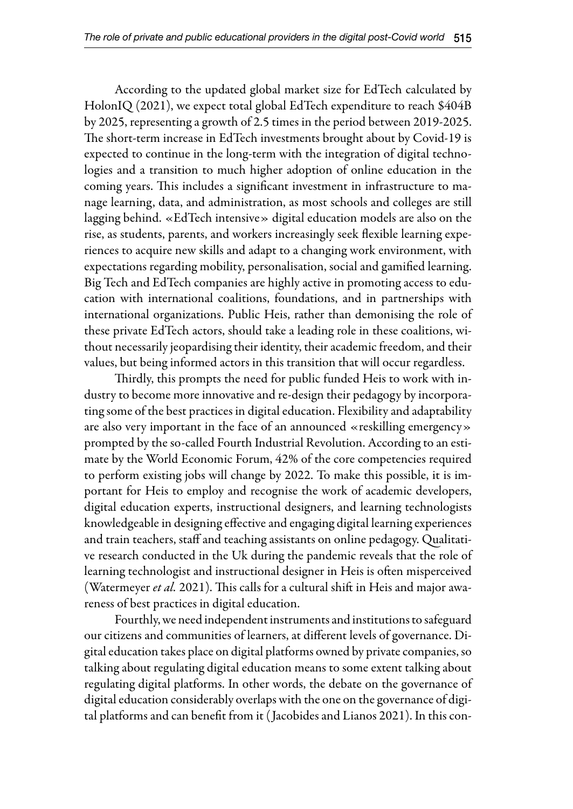According to the updated global market size for EdTech calculated by HolonIQ (2021), we expect total global EdTech expenditure to reach \$404B by 2025, representing a growth of 2.5 times in the period between 2019-2025. The short-term increase in EdTech investments brought about by Covid-19 is expected to continue in the long-term with the integration of digital technologies and a transition to much higher adoption of online education in the coming years. This includes a significant investment in infrastructure to manage learning, data, and administration, as most schools and colleges are still lagging behind. «EdTech intensive» digital education models are also on the rise, as students, parents, and workers increasingly seek flexible learning experiences to acquire new skills and adapt to a changing work environment, with expectations regarding mobility, personalisation, social and gamified learning. Big Tech and EdTech companies are highly active in promoting access to education with international coalitions, foundations, and in partnerships with international organizations. Public Heis, rather than demonising the role of these private EdTech actors, should take a leading role in these coalitions, without necessarily jeopardising their identity, their academic freedom, and their values, but being informed actors in this transition that will occur regardless.

Thirdly, this prompts the need for public funded Heis to work with industry to become more innovative and re-design their pedagogy by incorporating some of the best practices in digital education. Flexibility and adaptability are also very important in the face of an announced «reskilling emergency» prompted by the so-called Fourth Industrial Revolution. According to an estimate by the World Economic Forum, 42% of the core competencies required to perform existing jobs will change by 2022. To make this possible, it is important for Heis to employ and recognise the work of academic developers, digital education experts, instructional designers, and learning technologists knowledgeable in designing effective and engaging digital learning experiences and train teachers, staff and teaching assistants on online pedagogy. Qualitative research conducted in the Uk during the pandemic reveals that the role of learning technologist and instructional designer in Heis is often misperceived (Watermeyer *et al.* 2021). This calls for a cultural shift in Heis and major awareness of best practices in digital education.

Fourthly, we need independent instruments and institutions to safeguard our citizens and communities of learners, at different levels of governance. Digital education takes place on digital platforms owned by private companies, so talking about regulating digital education means to some extent talking about regulating digital platforms. In other words, the debate on the governance of digital education considerably overlaps with the one on the governance of digital platforms and can benefit from it ( Jacobides and Lianos 2021). In this con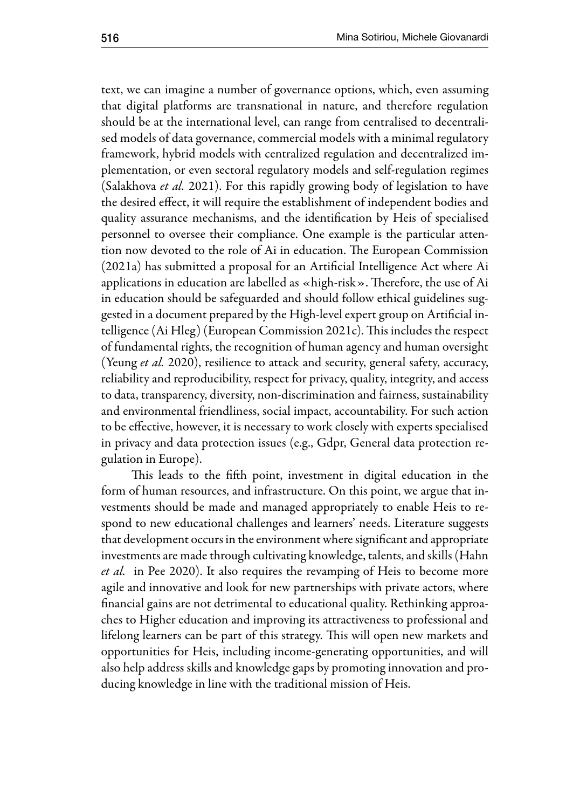text, we can imagine a number of governance options, which, even assuming that digital platforms are transnational in nature, and therefore regulation should be at the international level, can range from centralised to decentralised models of data governance, commercial models with a minimal regulatory framework, hybrid models with centralized regulation and decentralized implementation, or even sectoral regulatory models and self-regulation regimes (Salakhova *et al.* 2021). For this rapidly growing body of legislation to have the desired effect, it will require the establishment of independent bodies and quality assurance mechanisms, and the identification by Heis of specialised personnel to oversee their compliance. One example is the particular attention now devoted to the role of Ai in education. The European Commission (2021a) has submitted a proposal for an Artificial Intelligence Act where Ai applications in education are labelled as «high-risk». Therefore, the use of Ai in education should be safeguarded and should follow ethical guidelines suggested in a document prepared by the High-level expert group on Artificial intelligence (Ai Hleg) (European Commission 2021c). This includes the respect of fundamental rights, the recognition of human agency and human oversight (Yeung *et al.* 2020), resilience to attack and security, general safety, accuracy, reliability and reproducibility, respect for privacy, quality, integrity, and access to data, transparency, diversity, non-discrimination and fairness, sustainability and environmental friendliness, social impact, accountability. For such action to be effective, however, it is necessary to work closely with experts specialised in privacy and data protection issues (e.g., Gdpr, General data protection regulation in Europe).

This leads to the fifth point, investment in digital education in the form of human resources, and infrastructure. On this point, we argue that investments should be made and managed appropriately to enable Heis to respond to new educational challenges and learners' needs. Literature suggests that development occurs in the environment where significant and appropriate investments are made through cultivating knowledge, talents, and skills (Hahn *et al.* in Pee 2020). It also requires the revamping of Heis to become more agile and innovative and look for new partnerships with private actors, where financial gains are not detrimental to educational quality. Rethinking approaches to Higher education and improving its attractiveness to professional and lifelong learners can be part of this strategy. This will open new markets and opportunities for Heis, including income-generating opportunities, and will also help address skills and knowledge gaps by promoting innovation and producing knowledge in line with the traditional mission of Heis.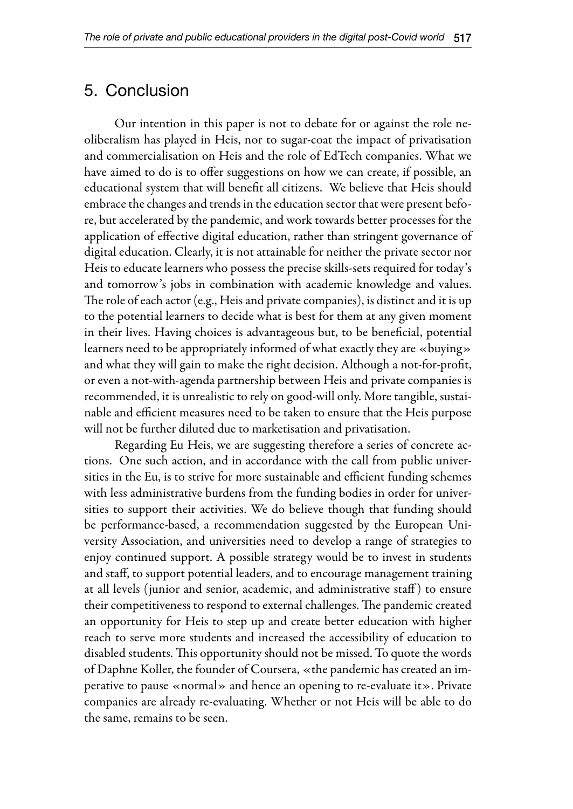#### 5. Conclusion

Our intention in this paper is not to debate for or against the role neoliberalism has played in Heis, nor to sugar-coat the impact of privatisation and commercialisation on Heis and the role of EdTech companies. What we have aimed to do is to offer suggestions on how we can create, if possible, an educational system that will benefit all citizens. We believe that Heis should embrace the changes and trends in the education sector that were present before, but accelerated by the pandemic, and work towards better processes for the application of effective digital education, rather than stringent governance of digital education. Clearly, it is not attainable for neither the private sector nor Heis to educate learners who possess the precise skills-sets required for today's and tomorrow's jobs in combination with academic knowledge and values. The role of each actor (e.g., Heis and private companies), is distinct and it is up to the potential learners to decide what is best for them at any given moment in their lives. Having choices is advantageous but, to be beneficial, potential learners need to be appropriately informed of what exactly they are «buying» and what they will gain to make the right decision. Although a not-for-profit, or even a not-with-agenda partnership between Heis and private companies is recommended, it is unrealistic to rely on good-will only. More tangible, sustainable and efficient measures need to be taken to ensure that the Heis purpose will not be further diluted due to marketisation and privatisation.

Regarding Eu Heis, we are suggesting therefore a series of concrete actions. One such action, and in accordance with the call from public universities in the Eu, is to strive for more sustainable and efficient funding schemes with less administrative burdens from the funding bodies in order for universities to support their activities. We do believe though that funding should be performance-based, a recommendation suggested by the European University Association, and universities need to develop a range of strategies to enjoy continued support. A possible strategy would be to invest in students and staff, to support potential leaders, and to encourage management training at all levels (junior and senior, academic, and administrative staff ) to ensure their competitiveness to respond to external challenges. The pandemic created an opportunity for Heis to step up and create better education with higher reach to serve more students and increased the accessibility of education to disabled students. This opportunity should not be missed. To quote the words of Daphne Koller, the founder of Coursera, «the pandemic has created an imperative to pause «normal» and hence an opening to re-evaluate it». Private companies are already re-evaluating. Whether or not Heis will be able to do the same, remains to be seen.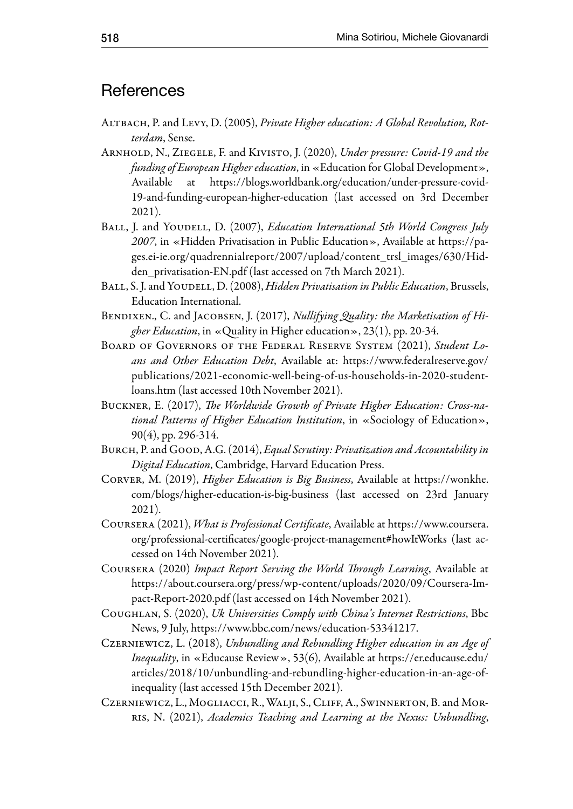#### **References**

- ALTBACH, P. and LEVY, D. (2005), *Private Higher education: A Global Revolution, Rotterdam*, Sense.
- Arnhold, N., Ziegele, F. and Kivisto, J. (2020), *Under pressure: Covid-19 and the funding of European Higher education*, in «Education for Global Development», Available at https://blogs.worldbank.org/education/under-pressure-covid-19-and-funding-european-higher-education (last accessed on 3rd December 2021).
- BALL, J. and YOUDELL, D. (2007), *Education International 5th World Congress July 2007*, in «Hidden Privatisation in Public Education», Available at https://pages.ei-ie.org/quadrennialreport/2007/upload/content\_trsl\_images/630/Hidden\_privatisation-EN.pdf (last accessed on 7th March 2021).
- BALL, S. J. and YOUDELL, D. (2008), *Hidden Privatisation in Public Education*, Brussels, Education International.
- BENDIXEN., C. and JACOBSEN, J. (2017), *Nullifying Quality: the Marketisation of Higher Education*, in «Quality in Higher education», 23(1), pp. 20-34.
- Board of Governors of the Federal Reserve System (2021), *Student Loans and Other Education Debt*, Available at: https://www.federalreserve.gov/ publications/2021-economic-well-being-of-us-households-in-2020-studentloans.htm (last accessed 10th November 2021).
- Buckner, E. (2017), *The Worldwide Growth of Private Higher Education: Cross-national Patterns of Higher Education Institution*, in «Sociology of Education», 90(4), pp. 296-314.
- BURCH, P. and GOOD, A.G. (2014), *Equal Scrutiny: Privatization and Accountability in Digital Education*, Cambridge, Harvard Education Press.
- Corver, M. (2019), *Higher Education is Big Business*, Available at https://wonkhe. com/blogs/higher-education-is-big-business (last accessed on 23rd January 2021).
- Coursera (2021), *What is Professional Certificate*, Available at https://www.coursera. org/professional-certificates/google-project-management#howItWorks (last accessed on 14th November 2021).
- Coursera (2020) *Impact Report Serving the World Through Learning*, Available at https://about.coursera.org/press/wp-content/uploads/2020/09/Coursera-Impact-Report-2020.pdf (last accessed on 14th November 2021).
- Coughlan, S. (2020), *Uk Universities Comply with China's Internet Restrictions*, Bbc News, 9 July, https://www.bbc.com/news/education-53341217.
- Czerniewicz, L. (2018), *Unbundling and Rebundling Higher education in an Age of Inequality*, in «Educause Review», 53(6), Available at https://er.educause.edu/ articles/2018/10/unbundling-and-rebundling-higher-education-in-an-age-ofinequality (last accessed 15th December 2021).
- Czerniewicz, L., Mogliacci, R., Walji, S., Cliff, A., Swinnerton, B. and Morris, N. (2021), *Academics Teaching and Learning at the Nexus: Unbundling*,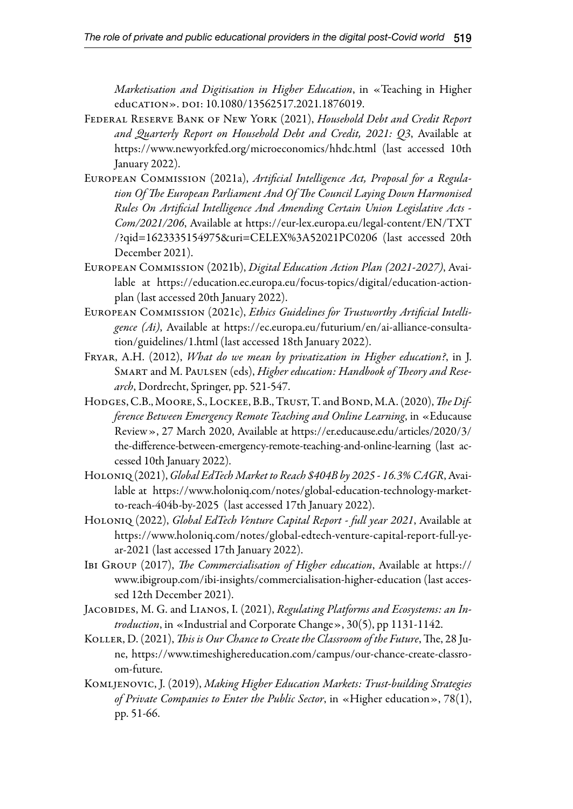*Marketisation and Digitisation in Higher Education*, in «Teaching in Higher education». doi: 10.1080/13562517.2021.1876019.

- Federal Reserve Bank of New York (2021), *Household Debt and Credit Report and Quarterly Report on Household Debt and Credit, 2021: Q3*, Available at https://www.newyorkfed.org/microeconomics/hhdc.html (last accessed 10th January 2022).
- European Commission (2021a), *Artificial Intelligence Act, Proposal for a Regulation Of The European Parliament And Of The Council Laying Down Harmonised Rules On Artificial Intelligence And Amending Certain Union Legislative Acts - Com/2021/206*, Available at https://eur-lex.europa.eu/legal-content/EN/TXT /?qid=1623335154975&uri=CELEX%3A52021PC0206 (last accessed 20th December 2021).
- European Commission (2021b), *Digital Education Action Plan (2021-2027)*, Available at https://education.ec.europa.eu/focus-topics/digital/education-actionplan (last accessed 20th January 2022).
- European Commission (2021c), *Ethics Guidelines for Trustworthy Artificial Intelligence (Ai)*, Available at https://ec.europa.eu/futurium/en/ai-alliance-consultation/guidelines/1.html (last accessed 18th January 2022).
- Fryar, A.H. (2012), *What do we mean by privatization in Higher education?*, in J. Smart and M. Paulsen (eds), *Higher education: Handbook of Theory and Research*, Dordrecht, Springer, pp. 521-547.
- Hodges, C.B., Moore, S., Lockee, B.B., Trust, T. and Bond, M.A. (2020), *The Difference Between Emergency Remote Teaching and Online Learning*, in «Educause Review», 27 March 2020, Available at https://er.educause.edu/articles/2020/3/ the-difference-between-emergency-remote-teaching-and-online-learning (last accessed 10th January 2022).
- Holoniq (2021), *Global EdTech Market to Reach \$404B by 2025 16.3% CAGR*, Available at https://www.holoniq.com/notes/global-education-technology-marketto-reach-404b-by-2025 (last accessed 17th January 2022).
- Holoniq (2022), *Global EdTech Venture Capital Report full year 2021*, Available at https://www.holoniq.com/notes/global-edtech-venture-capital-report-full-year-2021 (last accessed 17th January 2022).
- Ibi Group (2017), *The Commercialisation of Higher education*, Available at https:// www.ibigroup.com/ibi-insights/commercialisation-higher-education (last accessed 12th December 2021).
- Jacobides, M. G. and Lianos, I. (2021), *Regulating Platforms and Ecosystems: an Introduction*, in «Industrial and Corporate Change», 30(5), pp 1131-1142.
- Koller, D. (2021), *This is Our Chance to Create the Classroom of the Future*, The, 28 June, https://www.timeshighereducation.com/campus/our-chance-create-classroom-future.
- Komljenovic, J. (2019), *Making Higher Education Markets: Trust-building Strategies of Private Companies to Enter the Public Sector*, in «Higher education», 78(1), pp. 51-66.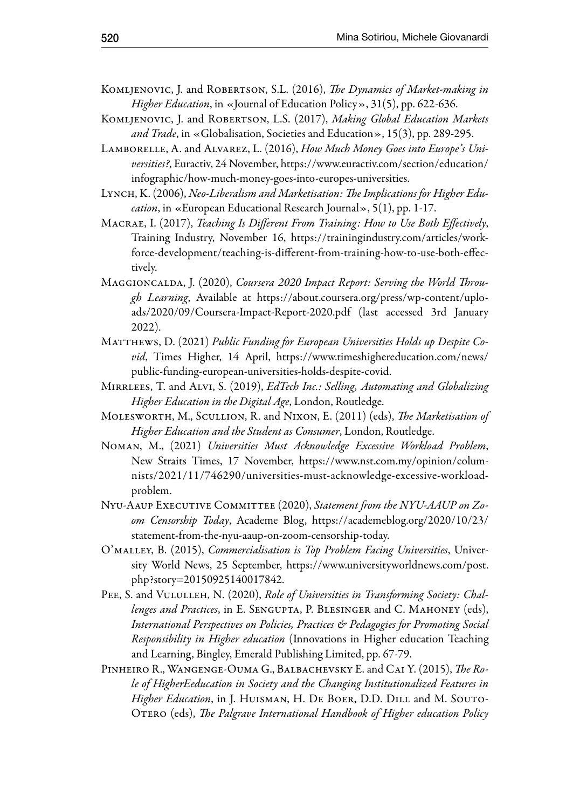- Komljenovic, J. and Robertson, S.L. (2016), *The Dynamics of Market-making in Higher Education*, in «Journal of Education Policy», 31(5), pp. 622-636.
- KOMLJENOVIC, J. and ROBERTSON, L.S. (2017), *Making Global Education Markets and Trade*, in «Globalisation, Societies and Education», 15(3), pp. 289-295.
- Lamborelle, A. and Alvarez, L. (2016), *How Much Money Goes into Europe's Universities?*, Euractiv, 24 November, https://www.euractiv.com/section/education/ infographic/how-much-money-goes-into-europes-universities.
- LYNCH, K. (2006), *Neo-Liberalism and Marketisation: The Implications for Higher Education*, in «European Educational Research Journal», 5(1), pp. 1-17.
- Macrae, I. (2017), *Teaching Is Different From Training: How to Use Both Effectively*, Training Industry, November 16, https://trainingindustry.com/articles/workforce-development/teaching-is-different-from-training-how-to-use-both-effectively.
- Maggioncalda, J. (2020), *Coursera 2020 Impact Report: Serving the World Through Learning*, Available at https://about.coursera.org/press/wp-content/uploads/2020/09/Coursera-Impact-Report-2020.pdf (last accessed 3rd January 2022).
- MATTHEWS, D. (2021) *Public Funding for European Universities Holds up Despite Covid*, Times Higher, 14 April, https://www.timeshighereducation.com/news/ public-funding-european-universities-holds-despite-covid.
- Mirrlees, T. and Alvi, S. (2019), *EdTech Inc.: Selling, Automating and Globalizing Higher Education in the Digital Age*, London, Routledge.
- Molesworth, M., Scullion, R. and Nixon, E. (2011) (eds), *The Marketisation of Higher Education and the Student as Consumer*, London, Routledge.
- Noman, M., (2021) *Universities Must Acknowledge Excessive Workload Problem*, New Straits Times, 17 November, https://www.nst.com.my/opinion/columnists/2021/11/746290/universities-must-acknowledge-excessive-workloadproblem.
- Nyu-Aaup Executive Committee (2020), *Statement from the NYU-AAUP on Zoom Censorship Today*, Academe Blog, https://academeblog.org/2020/10/23/ statement-from-the-nyu-aaup-on-zoom-censorship-today.
- O'malley, B. (2015), *Commercialisation is Top Problem Facing Universities*, University World News, 25 September, https://www.universityworldnews.com/post. php?story=20150925140017842.
- PEE, S. and VULULLEH, N. (2020), *Role of Universities in Transforming Society: Challenges and Practices*, in E. Sengupta, P. Blesinger and C. Mahoney (eds), *International Perspectives on Policies, Practices & Pedagogies for Promoting Social Responsibility in Higher education* (Innovations in Higher education Teaching and Learning, Bingley, Emerald Publishing Limited, pp. 67-79.
- Pinheiro R., Wangenge-Ouma G., Balbachevsky E. and Cai Y. (2015), *The Role of HigherEeducation in Society and the Changing Institutionalized Features in*  Higher Education, in J. HUISMAN, H. DE BOER, D.D. DILL and M. SOUTO-Otero (eds), *The Palgrave International Handbook of Higher education Policy*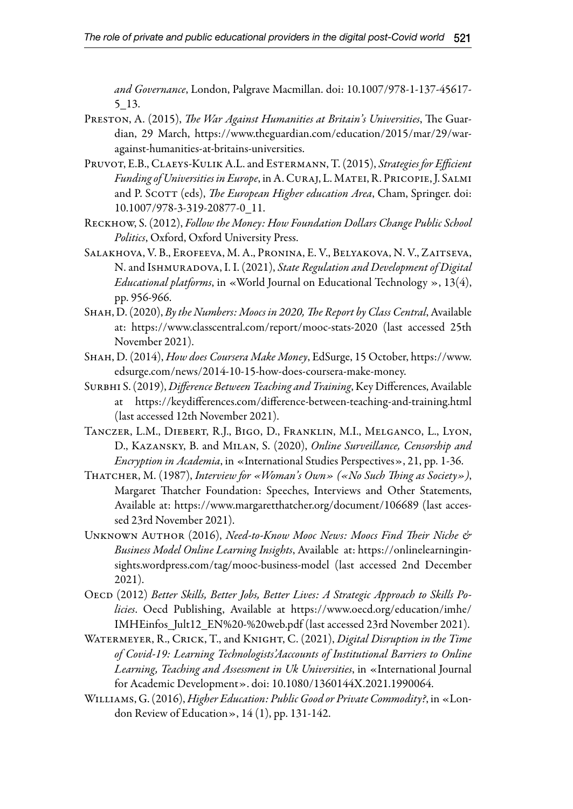*and Governance*, London, Palgrave Macmillan. doi: 10.1007/978-1-137-45617- 5\_13.

- Preston, A. (2015), *The War Against Humanities at Britain's Universities*, The Guardian, 29 March, https://www.theguardian.com/education/2015/mar/29/waragainst-humanities-at-britains-universities.
- Pruvot, E.B., Claeys-Kulik A.L. and Estermann, T. (2015), *Strategies for Efficient Funding of Universities in Europe*, in A. Curaj, L. Matei, R. Pricopie, J. Salmi and P. SCOTT (eds), *The European Higher education Area*, Cham, Springer. doi: 10.1007/978-3-319-20877-0\_11.
- Reckhow, S. (2012), *Follow the Money: How Foundation Dollars Change Public School Politics*, Oxford, Oxford University Press.
- Salakhova, V. B., Erofeeva, M. A., Pronina, E. V., Belyakova, N. V., Zaitseva, N. and Ishmuradova, I. I. (2021), *State Regulation and Development of Digital Educational platforms*, in «World Journal on Educational Technology », 13(4), pp. 956-966.
- Shah, D. (2020), *By the Numbers: Moocs in 2020, The Report by Class Central*, Available at: https://www.classcentral.com/report/mooc-stats-2020 (last accessed 25th November 2021).
- Shah, D. (2014), *How does Coursera Make Money*, EdSurge, 15 October, https://www. edsurge.com/news/2014-10-15-how-does-coursera-make-money.
- Surbhi S. (2019), *Difference Between Teaching and Training*, Key Differences, Available at https://keydifferences.com/difference-between-teaching-and-training.html (last accessed 12th November 2021).
- Tanczer, L.M., Diebert, R.J., Bigo, D., Franklin, M.I., Melganco, L., Lyon, D., Kazansky, B. and Milan, S. (2020), *Online Surveillance, Censorship and Encryption in Academia*, in «International Studies Perspectives», 21, pp. 1-36.
- Thatcher, M. (1987), *Interview for «Woman's Own» («No Such Thing as Society»)*, Margaret Thatcher Foundation: Speeches, Interviews and Other Statements, Available at: https://www.margaretthatcher.org/document/106689 (last accessed 23rd November 2021).
- Unknown Author (2016), *Need-to-Know Mooc News: Moocs Find Their Niche & Business Model Online Learning Insights*, Available at: https://onlinelearninginsights.wordpress.com/tag/mooc-business-model (last accessed 2nd December 2021).
- OECD (2012) *Better Skills, Better Jobs, Better Lives: A Strategic Approach to Skills Policies*. Oecd Publishing, Available at https://www.oecd.org/education/imhe/ IMHEinfos\_Jult12\_EN%20-%20web.pdf (last accessed 23rd November 2021).
- Watermeyer, R., Crick, T., and Knight, C. (2021), *Digital Disruption in the Time of Covid-19: Learning Technologists'Aaccounts of Institutional Barriers to Online Learning, Teaching and Assessment in Uk Universities*, in «International Journal for Academic Development». doi: 10.1080/1360144X.2021.1990064.
- Williams, G. (2016), *Higher Education: Public Good or Private Commodity?*, in «London Review of Education», 14 (1), pp. 131-142.